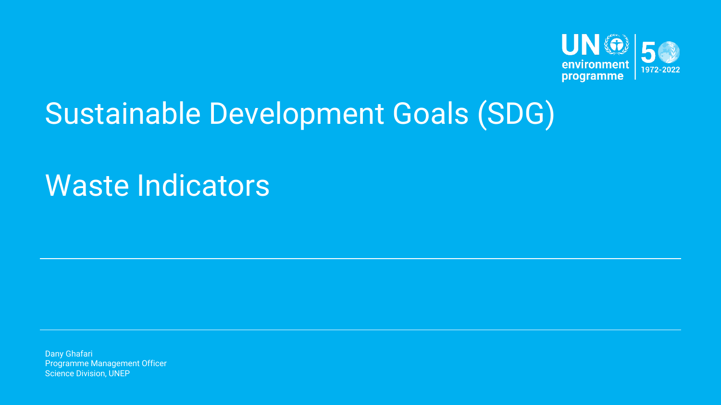

# Sustainable Development Goals (SDG)

# Waste Indicators

Dany Ghafari Programme Management Officer Science Division, UNEP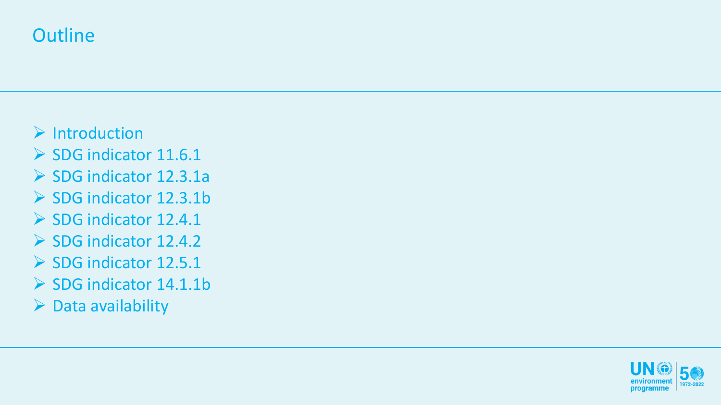### **Outline**

- ➢ Introduction
- ➢ SDG indicator 11.6.1
- ➢ SDG indicator 12.3.1a
- ➢ SDG indicator 12.3.1b
- ➢ SDG indicator 12.4.1
- ➢ SDG indicator 12.4.2
- ➢ SDG indicator 12.5.1
- ➢ SDG indicator 14.1.1b
- $\triangleright$  Data availability

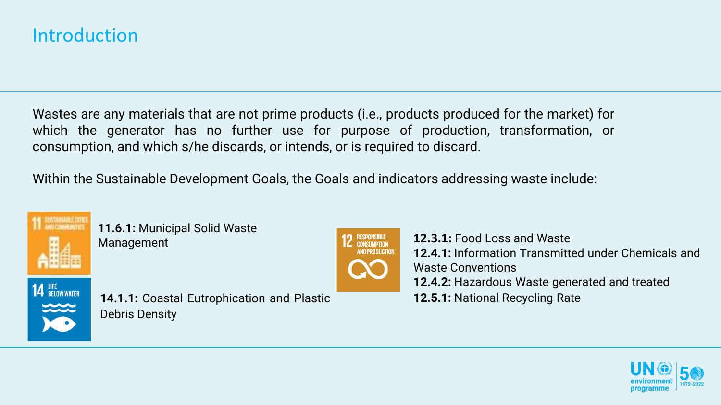### Introduction

Wastes are any materials that are not prime products (i.e., products produced for the market) for which the generator has no further use for purpose of production, transformation, or consumption, and which s/he discards, or intends, or is required to discard.

Within the Sustainable Development Goals, the Goals and indicators addressing waste include:



**11.6.1:** Municipal Solid Waste



Management **12.3.1:** Food Loss and Waste **12.4.1:** Information Transmitted under Chemicals and Waste Conventions **12.4.2:** Hazardous Waste generated and treated





**14.1.1:** Coastal Eutrophication and Plastic **12.5.1:** National Recycling Rate Debris Density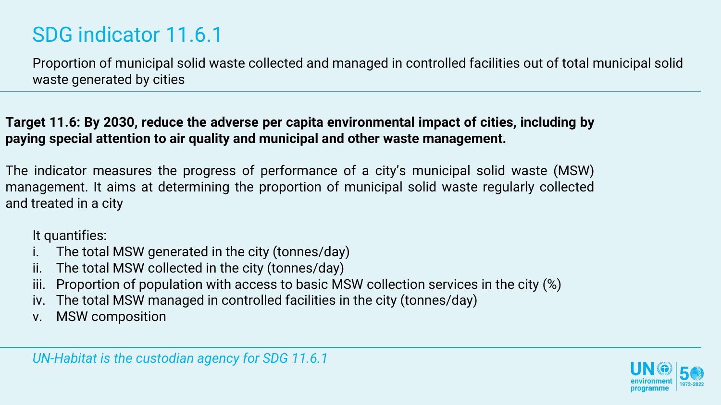## SDG indicator 11.6.1

Proportion of municipal solid waste collected and managed in controlled facilities out of total municipal solid waste generated by cities

**Target 11.6: By 2030, reduce the adverse per capita environmental impact of cities, including by paying special attention to air quality and municipal and other waste management.**

The indicator measures the progress of performance of a city's municipal solid waste (MSW) management. It aims at determining the proportion of municipal solid waste regularly collected and treated in a city

It quantifies:

- i. The total MSW generated in the city (tonnes/day)
- ii. The total MSW collected in the city (tonnes/day)
- iii. Proportion of population with access to basic MSW collection services in the city (%)
- iv. The total MSW managed in controlled facilities in the city (tonnes/day)
- v. MSW composition

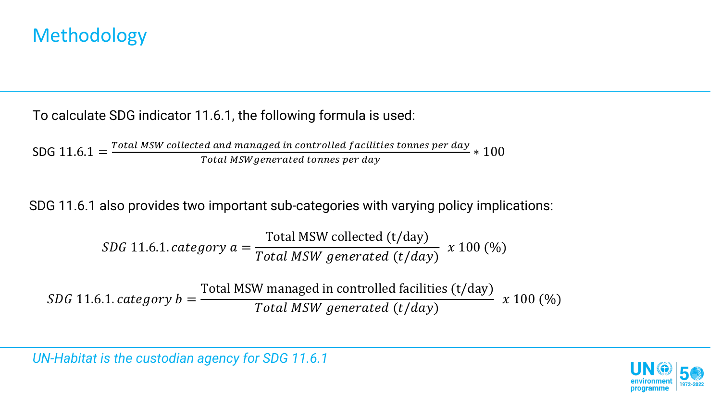#### To calculate SDG indicator 11.6.1, the following formula is used:

SDG  $11.6.1 = \frac{Total MSW collected and managed in controlled facilities tonnes per day}{Total MSW generated terms against  $S$$  $\frac{u}{t}$  and managed in controlled J defilties connes per day  $\ast~100$ 

SDG 11.6.1 also provides two important sub-categories with varying policy implications:

*SDG* 11.6.1. *category* 
$$
a = \frac{\text{Total MSW collected (t/day)}}{\text{Total MSW generated (t/day)}}
$$
 x 100 (%)

 $SDG$  11.6.1.  $category b =$ Total MSW managed in controlled facilities (t/day) Total MSW generated (t/day)  $x 100 (%)$ 

*UN-Habitat is the custodian agency for SDG 11.6.1*

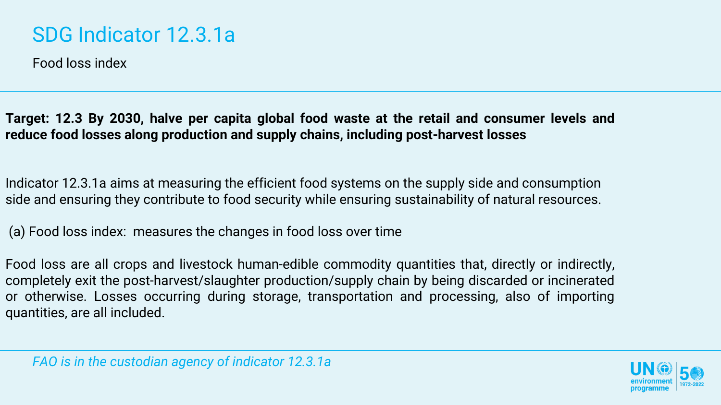### SDG Indicator 12.3.1a

Food loss index

**Target: 12.3 By 2030, halve per capita global food waste at the retail and consumer levels and reduce food losses along production and supply chains, including post-harvest losses**

Indicator 12.3.1a aims at measuring the efficient food systems on the supply side and consumption side and ensuring they contribute to food security while ensuring sustainability of natural resources.

(a) Food loss index: measures the changes in food loss over time

Food loss are all crops and livestock human-edible commodity quantities that, directly or indirectly, completely exit the post-harvest/slaughter production/supply chain by being discarded or incinerated or otherwise. Losses occurring during storage, transportation and processing, also of importing quantities, are all included.

*FAO is in the custodian agency of indicator 12.3.1a*

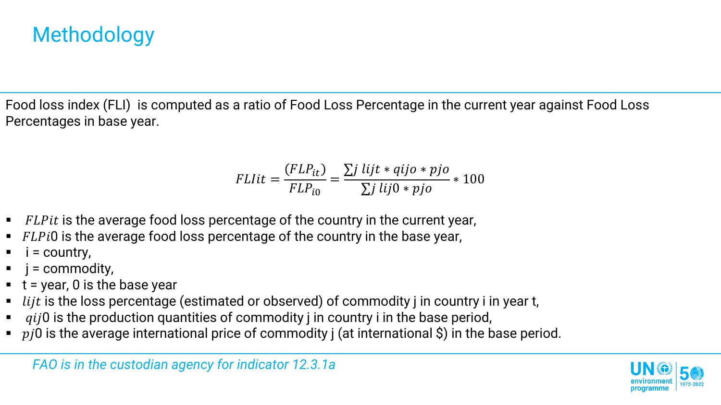Food loss index (FLI) is computed as a ratio of Food Loss Percentage in the current year against Food Loss Percentages in base year.

$$
FLlit = \frac{(FLP_{it})}{FLP_{i0}} = \frac{\sum j \ lijt * qij o * pjo}{\sum j \ lij0 * pjo} * 100
$$

- $\blacksquare$  FLPit is the average food loss percentage of the country in the current year,
- $\blacksquare$  FLPi0 is the average food loss percentage of the country in the base year,
- $i =$  country,
- $\blacksquare$   $\blacksquare$   $\blacksquare$  = commodity,
- $\bullet$  t = year, 0 is the base year
- $\blacksquare$  lijt is the loss percentage (estimated or observed) of commodity j in country i in year t,
- $qij0$  is the production quantities of commodity j in country i in the base period,
- $\bullet$   $\pi$  is the average international price of commodity j (at international \$) in the base period.

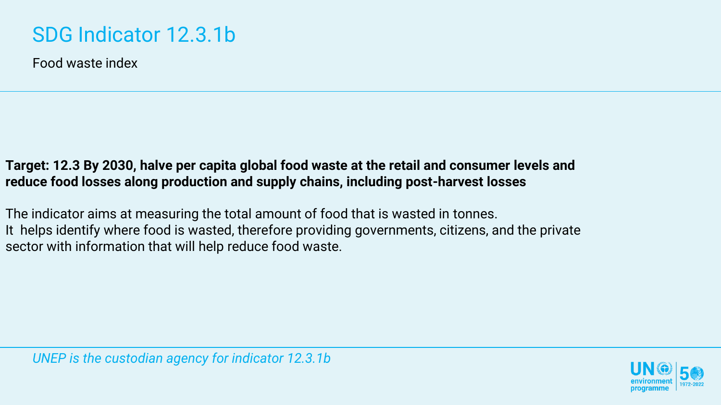## SDG Indicator 12.3.1b

Food waste index

#### **Target: 12.3 By 2030, halve per capita global food waste at the retail and consumer levels and reduce food losses along production and supply chains, including post-harvest losses**

The indicator aims at measuring the total amount of food that is wasted in tonnes. It helps identify where food is wasted, therefore providing governments, citizens, and the private sector with information that will help reduce food waste.

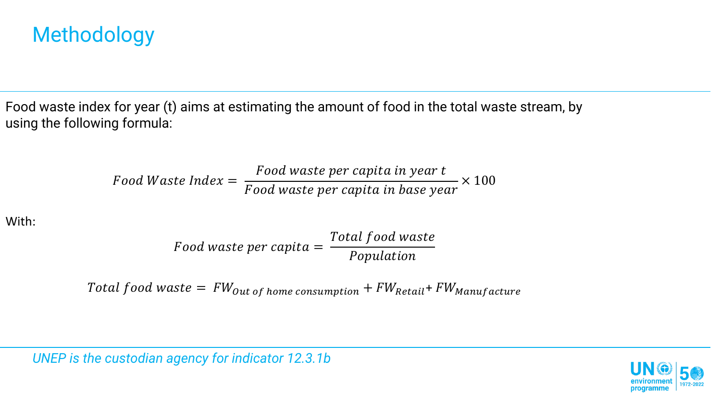Food waste index for year (t) aims at estimating the amount of food in the total waste stream, by using the following formula:

Food Waste Index = 
$$
\frac{Food\ waste\ per\ capita\ in\ year\ t}{Food\ waste\ per\ capita\ in\ base\ year} \times 100
$$

With:

Food waste per capita  $=$ Total food waste Population

Total food waste =  $FW_{out of home consumption} + FW_{Retail} + FW_{Manufacture}$ 

*UNEP is the custodian agency for indicator 12.3.1b*

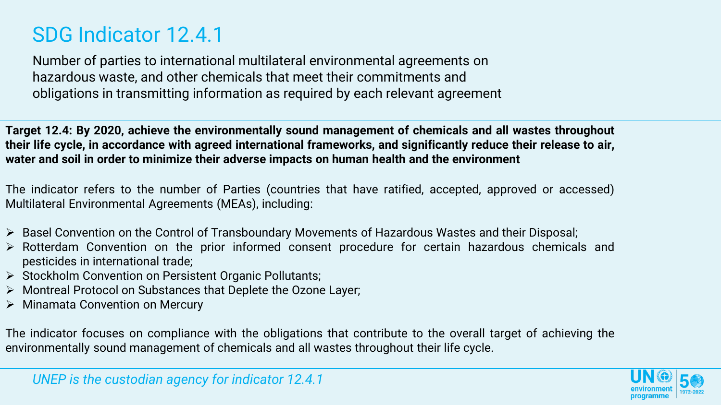### SDG Indicator 12.4.1

Number of parties to international multilateral environmental agreements on hazardous waste, and other chemicals that meet their commitments and obligations in transmitting information as required by each relevant agreement

**Target 12.4: By 2020, achieve the environmentally sound management of chemicals and all wastes throughout** their life cycle, in accordance with agreed international frameworks, and significantly reduce their release to air, **water and soil in order to minimize their adverse impacts on human health and the environment**

The indicator refers to the number of Parties (countries that have ratified, accepted, approved or accessed) Multilateral Environmental Agreements (MEAs), including:

- ➢ Basel Convention on the Control of Transboundary Movements of Hazardous Wastes and their Disposal;
- ➢ Rotterdam Convention on the prior informed consent procedure for certain hazardous chemicals and pesticides in international trade;
- ➢ Stockholm Convention on Persistent Organic Pollutants;
- ➢ Montreal Protocol on Substances that Deplete the Ozone Layer;
- ➢ Minamata Convention on Mercury

The indicator focuses on compliance with the obligations that contribute to the overall target of achieving the environmentally sound management of chemicals and all wastes throughout their life cycle.

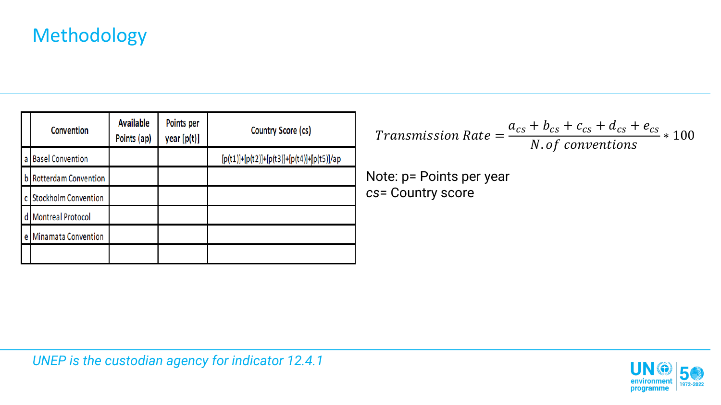|   | Convention                  | <b>Available</b><br>Points (ap) | Points per<br>year [p(t)] | Country Score (cs)                           |
|---|-----------------------------|---------------------------------|---------------------------|----------------------------------------------|
| a | <b>Basel Convention</b>     |                                 |                           | $[p(t1)]+[p(t2)]+[p(t3)]+[p(t4)]+[p(t5)]/ap$ |
|   | b Rotterdam Convention      |                                 |                           |                                              |
| C | <b>Stockholm Convention</b> |                                 |                           |                                              |
| d | <b>Montreal Protocol</b>    |                                 |                           |                                              |
|   | e Minamata Convention       |                                 |                           |                                              |
|   |                             |                                 |                           |                                              |

 $\mathit{Transmission\ Rate} =$  $a_{cs} + b_{cs} + c_{cs} + d_{cs} + e_{cs}$ N. of conventions ∗ 100

Note: p= Points per year *cs*= Country score

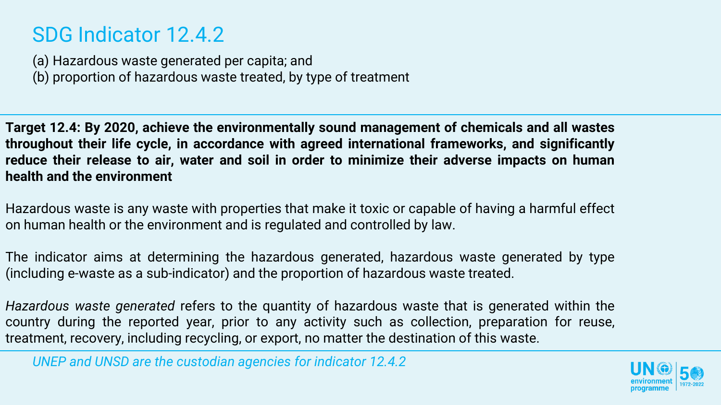### SDG Indicator 12.4.2

(a) Hazardous waste generated per capita; and (b) proportion of hazardous waste treated, by type of treatment

**Target 12.4: By 2020, achieve the environmentally sound management of chemicals and all wastes throughout their life cycle, in accordance with agreed international frameworks, and significantly reduce their release to air, water and soil in order to minimize their adverse impacts on human health and the environment**

Hazardous waste is any waste with properties that make it toxic or capable of having a harmful effect on human health or the environment and is regulated and controlled by law.

The indicator aims at determining the hazardous generated, hazardous waste generated by type (including e-waste as a sub-indicator) and the proportion of hazardous waste treated.

*Hazardous waste generated* refers to the quantity of hazardous waste that is generated within the country during the reported year, prior to any activity such as collection, preparation for reuse, treatment, recovery, including recycling, or export, no matter the destination of this waste.

*UNEP and UNSD are the custodian agencies for indicator 12.4.2*

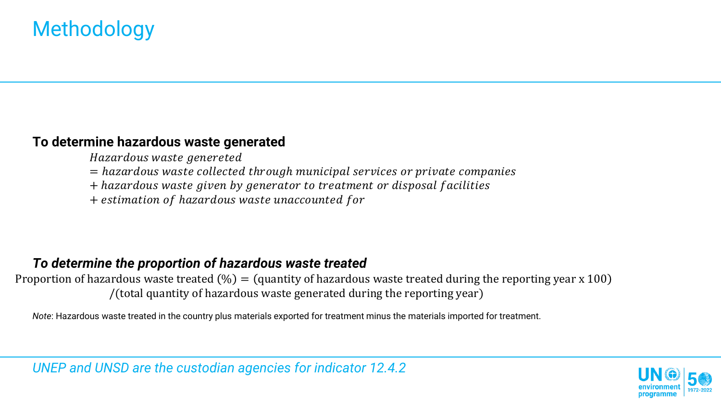#### **To determine hazardous waste generated**

Hazardous waste genereted

- = hazardous waste collected through municipal services or private companies
- + hazardous waste given by generator to treatment or disposal facilities
- + estimation of hazardous waste unaccounted for

#### *To determine the proportion of hazardous waste treated*

Proportion of hazardous waste treated  $\left(\% \right) =$  (quantity of hazardous waste treated during the reporting year x 100) /(total quantity of hazardous waste generated during the reporting year)

*Note*: Hazardous waste treated in the country plus materials exported for treatment minus the materials imported for treatment.

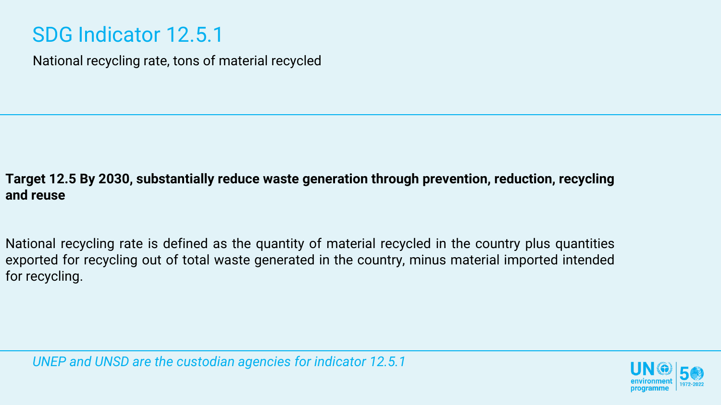### SDG Indicator 12.5.1

National recycling rate, tons of material recycled

#### **Target 12.5 By 2030, substantially reduce waste generation through prevention, reduction, recycling and reuse**

National recycling rate is defined as the quantity of material recycled in the country plus quantities exported for recycling out of total waste generated in the country, minus material imported intended for recycling.

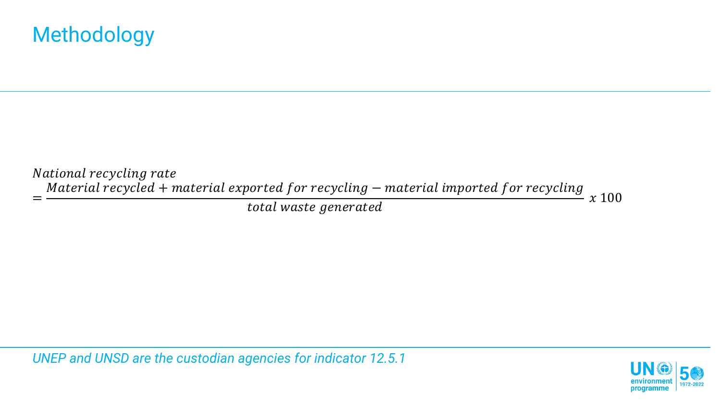National recycling rate =  $Materal$   $recycled$  + material exported for recycling – material imported for recycling  $\frac{1}{\text{total waste generated}}$   $x \, 100$ 

*UNEP and UNSD are the custodian agencies for indicator 12.5.1*

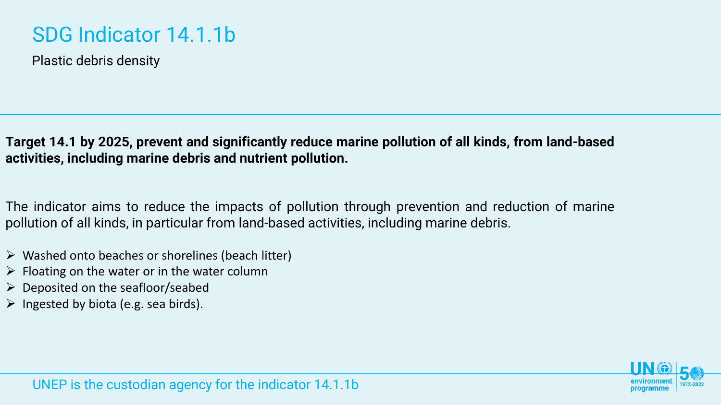### SDG Indicator 14.1.1b

Plastic debris density

**Target 14.1 by 2025, prevent and significantly reduce marine pollution of all kinds, from land-based activities, including marine debris and nutrient pollution.**

The indicator aims to reduce the impacts of pollution through prevention and reduction of marine pollution of all kinds, in particular from land-based activities, including marine debris.

- $\triangleright$  Washed onto beaches or shorelines (beach litter)
- $\triangleright$  Floating on the water or in the water column
- $\triangleright$  Deposited on the seafloor/seabed
- $\triangleright$  Ingested by biota (e.g. sea birds).

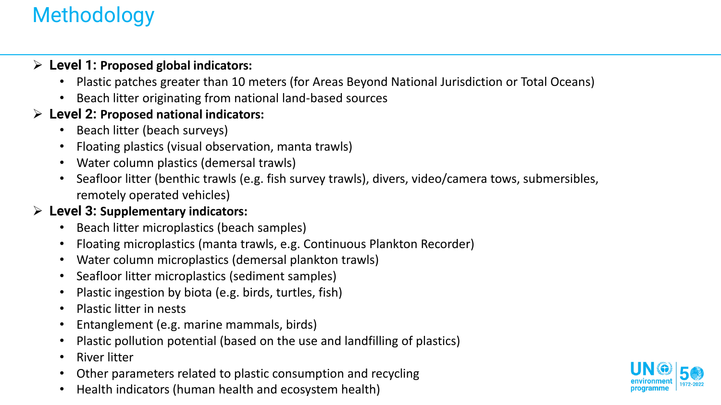#### ➢ **Level 1: Proposed global indicators:**

- Plastic patches greater than 10 meters (for Areas Beyond National Jurisdiction or Total Oceans)
- Beach litter originating from national land-based sources

#### ➢ **Level 2: Proposed national indicators:**

- Beach litter (beach surveys)
- Floating plastics (visual observation, manta trawls)
- Water column plastics (demersal trawls)
- Seafloor litter (benthic trawls (e.g. fish survey trawls), divers, video/camera tows, submersibles, remotely operated vehicles)

#### ➢ **Level 3: Supplementary indicators:**

- Beach litter microplastics (beach samples)
- Floating microplastics (manta trawls, e.g. Continuous Plankton Recorder)
- Water column microplastics (demersal plankton trawls)
- Seafloor litter microplastics (sediment samples)
- Plastic ingestion by biota (e.g. birds, turtles, fish)
- Plastic litter in nests
- Entanglement (e.g. marine mammals, birds)
- Plastic pollution potential (based on the use and landfilling of plastics)
- River litter
- Other parameters related to plastic consumption and recycling
- Health indicators (human health and ecosystem health)

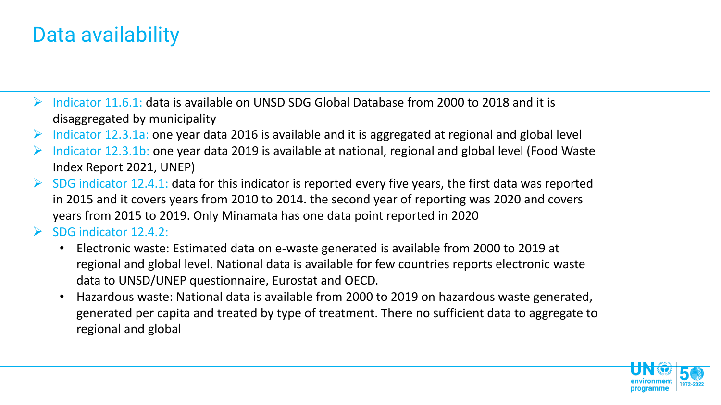### Data availability

- $\triangleright$  Indicator 11.6.1: data is available on UNSD SDG Global Database from 2000 to 2018 and it is disaggregated by municipality
- $\triangleright$  Indicator 12.3.1a: one year data 2016 is available and it is aggregated at regional and global level
- $\triangleright$  Indicator 12.3.1b: one year data 2019 is available at national, regional and global level (Food Waste Index Report 2021, UNEP)
- $\triangleright$  SDG indicator 12.4.1: data for this indicator is reported every five years, the first data was reported in 2015 and it covers years from 2010 to 2014. the second year of reporting was 2020 and covers years from 2015 to 2019. Only Minamata has one data point reported in 2020
- $\triangleright$  SDG indicator 12.4.2:
	- Electronic waste: Estimated data on e-waste generated is available from 2000 to 2019 at regional and global level. National data is available for few countries reports electronic waste data to UNSD/UNEP questionnaire, Eurostat and OECD.
	- Hazardous waste: National data is available from 2000 to 2019 on hazardous waste generated, generated per capita and treated by type of treatment. There no sufficient data to aggregate to regional and global

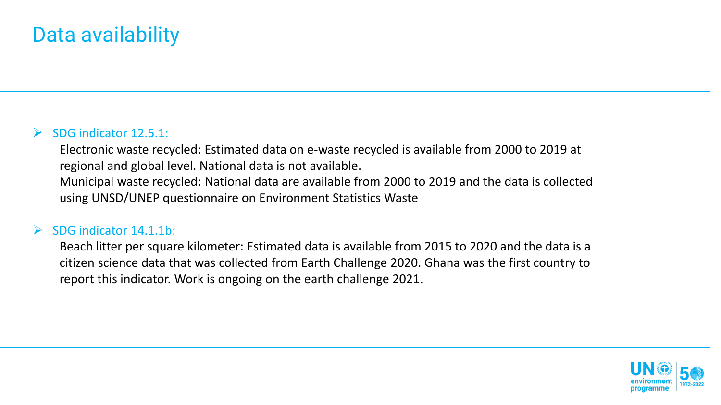### Data availability

#### $\triangleright$  SDG indicator 12.5.1:

Electronic waste recycled: Estimated data on e-waste recycled is available from 2000 to 2019 at regional and global level. National data is not available. Municipal waste recycled: National data are available from 2000 to 2019 and the data is collected using UNSD/UNEP questionnaire on Environment Statistics Waste

#### $\triangleright$  SDG indicator 14.1.1b:

Beach litter per square kilometer: Estimated data is available from 2015 to 2020 and the data is a citizen science data that was collected from Earth Challenge 2020. Ghana was the first country to report this indicator. Work is ongoing on the earth challenge 2021.

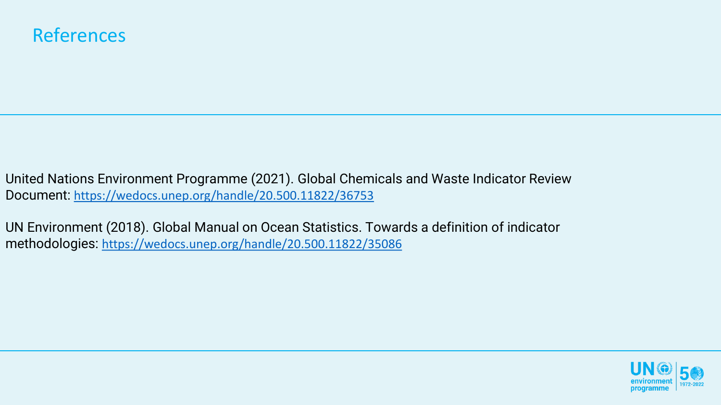### **References**

United Nations Environment Programme (2021). Global Chemicals and Waste Indicator Review Document: <https://wedocs.unep.org/handle/20.500.11822/36753>

UN Environment (2018). Global Manual on Ocean Statistics. Towards a definition of indicator methodologies: <https://wedocs.unep.org/handle/20.500.11822/35086>